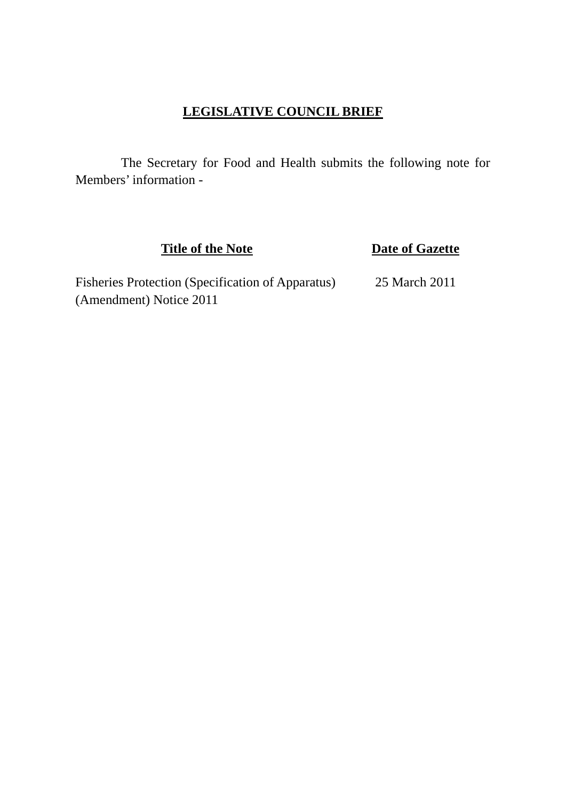# **LEGISLATIVE COUNCIL BRIEF**

 The Secretary for Food and Health submits the following note for Members' information -

**Title of the Note Date of Gazette** 

Fisheries Protection (Specification of Apparatus) 25 March 2011 (Amendment) Notice 2011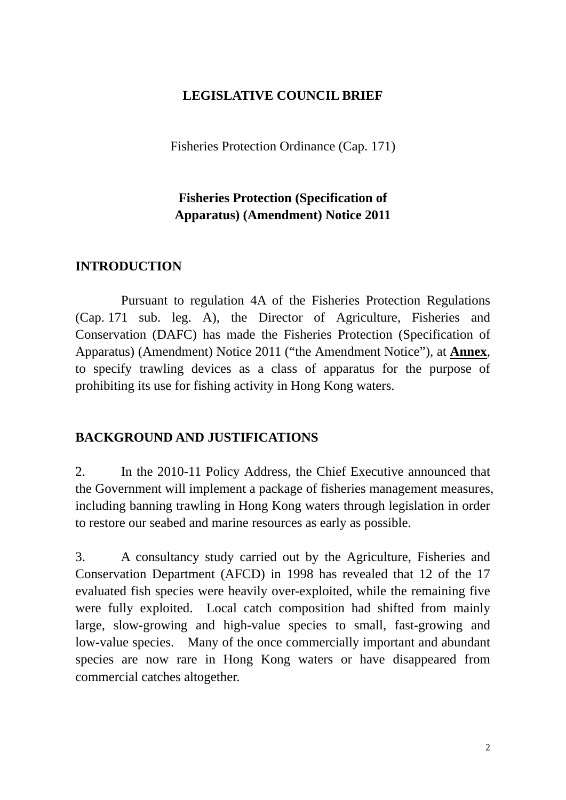### **LEGISLATIVE COUNCIL BRIEF**

Fisheries Protection Ordinance (Cap. 171)

# **Fisheries Protection (Specification of Apparatus) (Amendment) Notice 2011**

#### **INTRODUCTION**

 Pursuant to regulation 4A of the Fisheries Protection Regulations (Cap. 171 sub. leg. A), the Director of Agriculture, Fisheries and Conservation (DAFC) has made the Fisheries Protection (Specification of Apparatus) (Amendment) Notice 2011 ("the Amendment Notice"), at **Annex**, to specify trawling devices as a class of apparatus for the purpose of prohibiting its use for fishing activity in Hong Kong waters.

### **BACKGROUND AND JUSTIFICATIONS**

2. In the 2010-11 Policy Address, the Chief Executive announced that the Government will implement a package of fisheries management measures, including banning trawling in Hong Kong waters through legislation in order to restore our seabed and marine resources as early as possible.

3. A consultancy study carried out by the Agriculture, Fisheries and Conservation Department (AFCD) in 1998 has revealed that 12 of the 17 evaluated fish species were heavily over-exploited, while the remaining five were fully exploited. Local catch composition had shifted from mainly large, slow-growing and high-value species to small, fast-growing and low-value species. Many of the once commercially important and abundant species are now rare in Hong Kong waters or have disappeared from commercial catches altogether.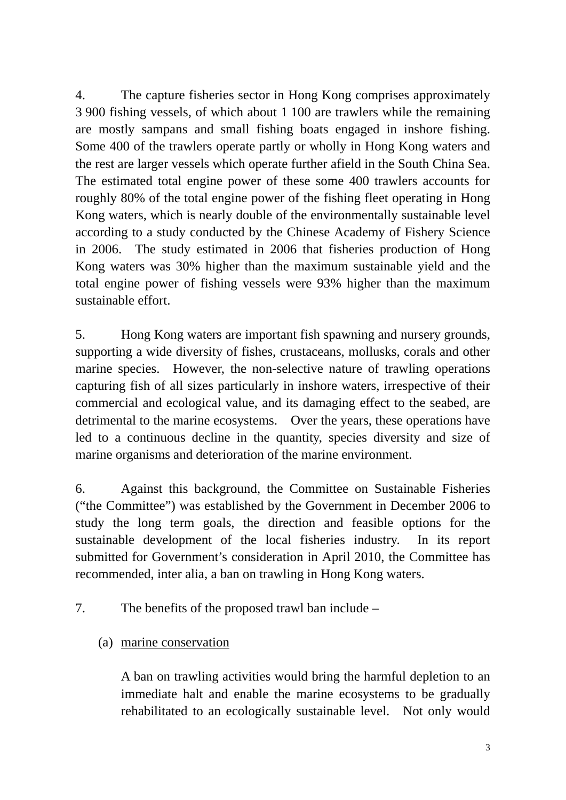4. The capture fisheries sector in Hong Kong comprises approximately 3 900 fishing vessels, of which about 1 100 are trawlers while the remaining are mostly sampans and small fishing boats engaged in inshore fishing. Some 400 of the trawlers operate partly or wholly in Hong Kong waters and the rest are larger vessels which operate further afield in the South China Sea. The estimated total engine power of these some 400 trawlers accounts for roughly 80% of the total engine power of the fishing fleet operating in Hong Kong waters, which is nearly double of the environmentally sustainable level according to a study conducted by the Chinese Academy of Fishery Science in 2006. The study estimated in 2006 that fisheries production of Hong Kong waters was 30% higher than the maximum sustainable yield and the total engine power of fishing vessels were 93% higher than the maximum sustainable effort.

5. Hong Kong waters are important fish spawning and nursery grounds, supporting a wide diversity of fishes, crustaceans, mollusks, corals and other marine species. However, the non-selective nature of trawling operations capturing fish of all sizes particularly in inshore waters, irrespective of their commercial and ecological value, and its damaging effect to the seabed, are detrimental to the marine ecosystems. Over the years, these operations have led to a continuous decline in the quantity, species diversity and size of marine organisms and deterioration of the marine environment.

6. Against this background, the Committee on Sustainable Fisheries ("the Committee") was established by the Government in December 2006 to study the long term goals, the direction and feasible options for the sustainable development of the local fisheries industry. In its report submitted for Government's consideration in April 2010, the Committee has recommended, inter alia, a ban on trawling in Hong Kong waters.

7. The benefits of the proposed trawl ban include –

(a) marine conservation

A ban on trawling activities would bring the harmful depletion to an immediate halt and enable the marine ecosystems to be gradually rehabilitated to an ecologically sustainable level. Not only would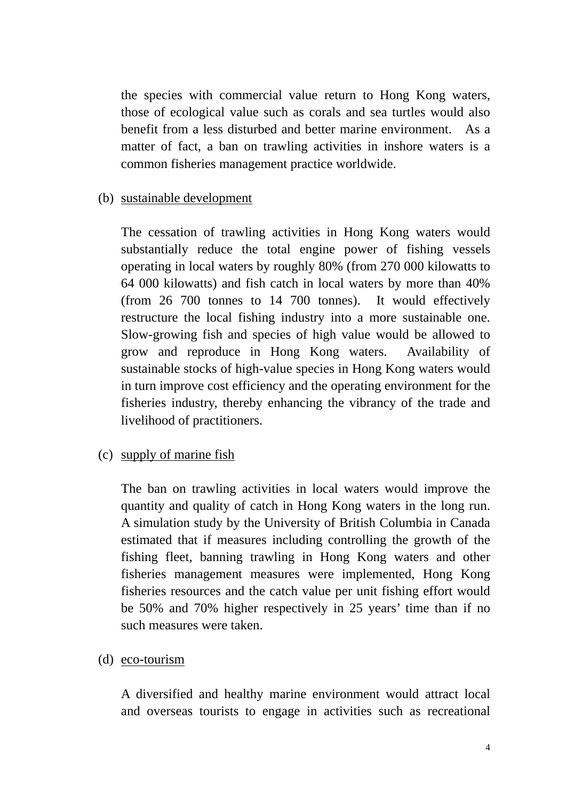the species with commercial value return to Hong Kong waters, those of ecological value such as corals and sea turtles would also benefit from a less disturbed and better marine environment. As a matter of fact, a ban on trawling activities in inshore waters is a common fisheries management practice worldwide.

#### (b) sustainable development

The cessation of trawling activities in Hong Kong waters would substantially reduce the total engine power of fishing vessels operating in local waters by roughly 80% (from 270 000 kilowatts to 64 000 kilowatts) and fish catch in local waters by more than 40% (from 26 700 tonnes to 14 700 tonnes). It would effectively restructure the local fishing industry into a more sustainable one. Slow-growing fish and species of high value would be allowed to grow and reproduce in Hong Kong waters. Availability of sustainable stocks of high-value species in Hong Kong waters would in turn improve cost efficiency and the operating environment for the fisheries industry, thereby enhancing the vibrancy of the trade and livelihood of practitioners.

### (c) supply of marine fish

The ban on trawling activities in local waters would improve the quantity and quality of catch in Hong Kong waters in the long run. A simulation study by the University of British Columbia in Canada estimated that if measures including controlling the growth of the fishing fleet, banning trawling in Hong Kong waters and other fisheries management measures were implemented, Hong Kong fisheries resources and the catch value per unit fishing effort would be 50% and 70% higher respectively in 25 years' time than if no such measures were taken.

#### (d) eco-tourism

A diversified and healthy marine environment would attract local and overseas tourists to engage in activities such as recreational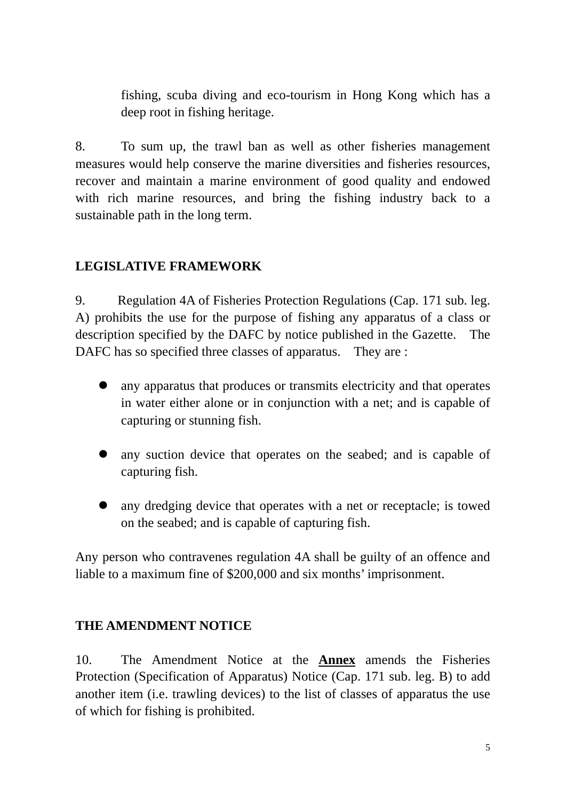fishing, scuba diving and eco-tourism in Hong Kong which has a deep root in fishing heritage.

8. To sum up, the trawl ban as well as other fisheries management measures would help conserve the marine diversities and fisheries resources, recover and maintain a marine environment of good quality and endowed with rich marine resources, and bring the fishing industry back to a sustainable path in the long term.

# **LEGISLATIVE FRAMEWORK**

9. Regulation 4A of Fisheries Protection Regulations (Cap. 171 sub. leg. A) prohibits the use for the purpose of fishing any apparatus of a class or description specified by the DAFC by notice published in the Gazette. The DAFC has so specified three classes of apparatus. They are :

- any apparatus that produces or transmits electricity and that operates in water either alone or in conjunction with a net; and is capable of capturing or stunning fish.
- any suction device that operates on the seabed; and is capable of capturing fish.
- any dredging device that operates with a net or receptacle; is towed on the seabed; and is capable of capturing fish.

Any person who contravenes regulation 4A shall be guilty of an offence and liable to a maximum fine of \$200,000 and six months' imprisonment.

# **THE AMENDMENT NOTICE**

10. The Amendment Notice at the **Annex** amends the Fisheries Protection (Specification of Apparatus) Notice (Cap. 171 sub. leg. B) to add another item (i.e. trawling devices) to the list of classes of apparatus the use of which for fishing is prohibited.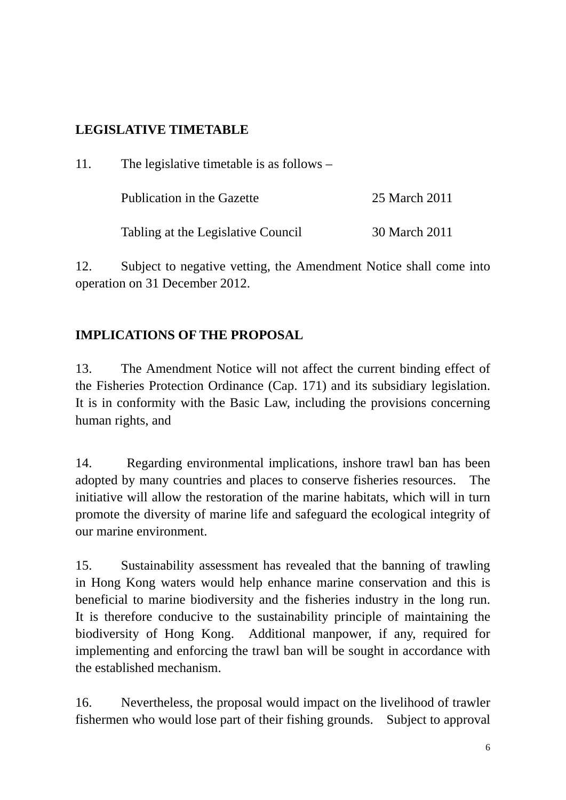# **LEGISLATIVE TIMETABLE**

| 11. | The legislative timetable is as follows $-$ |               |
|-----|---------------------------------------------|---------------|
|     | Publication in the Gazette                  | 25 March 2011 |
|     | Tabling at the Legislative Council          | 30 March 2011 |

12. Subject to negative vetting, the Amendment Notice shall come into operation on 31 December 2012.

# **IMPLICATIONS OF THE PROPOSAL**

13. The Amendment Notice will not affect the current binding effect of the Fisheries Protection Ordinance (Cap. 171) and its subsidiary legislation. It is in conformity with the Basic Law, including the provisions concerning human rights, and

14. Regarding environmental implications, inshore trawl ban has been adopted by many countries and places to conserve fisheries resources. The initiative will allow the restoration of the marine habitats, which will in turn promote the diversity of marine life and safeguard the ecological integrity of our marine environment.

15. Sustainability assessment has revealed that the banning of trawling in Hong Kong waters would help enhance marine conservation and this is beneficial to marine biodiversity and the fisheries industry in the long run. It is therefore conducive to the sustainability principle of maintaining the biodiversity of Hong Kong. Additional manpower, if any, required for implementing and enforcing the trawl ban will be sought in accordance with the established mechanism.

16. Nevertheless, the proposal would impact on the livelihood of trawler fishermen who would lose part of their fishing grounds. Subject to approval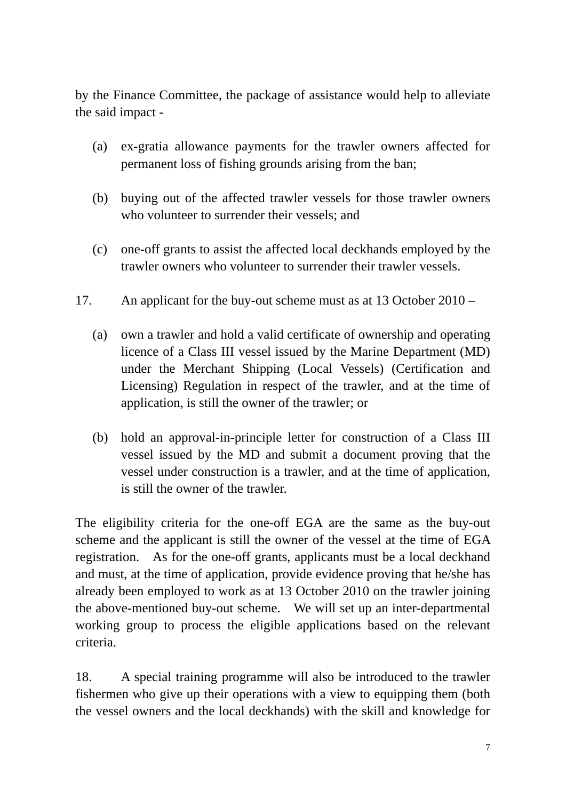by the Finance Committee, the package of assistance would help to alleviate the said impact -

- (a) ex-gratia allowance payments for the trawler owners affected for permanent loss of fishing grounds arising from the ban;
- (b) buying out of the affected trawler vessels for those trawler owners who volunteer to surrender their vessels; and
- (c) one-off grants to assist the affected local deckhands employed by the trawler owners who volunteer to surrender their trawler vessels.
- 17. An applicant for the buy-out scheme must as at 13 October 2010
	- (a) own a trawler and hold a valid certificate of ownership and operating licence of a Class III vessel issued by the Marine Department (MD) under the Merchant Shipping (Local Vessels) (Certification and Licensing) Regulation in respect of the trawler, and at the time of application, is still the owner of the trawler; or
	- (b) hold an approval-in-principle letter for construction of a Class III vessel issued by the MD and submit a document proving that the vessel under construction is a trawler, and at the time of application, is still the owner of the trawler.

The eligibility criteria for the one-off EGA are the same as the buy-out scheme and the applicant is still the owner of the vessel at the time of EGA registration. As for the one-off grants, applicants must be a local deckhand and must, at the time of application, provide evidence proving that he/she has already been employed to work as at 13 October 2010 on the trawler joining the above-mentioned buy-out scheme. We will set up an inter-departmental working group to process the eligible applications based on the relevant criteria.

18. A special training programme will also be introduced to the trawler fishermen who give up their operations with a view to equipping them (both the vessel owners and the local deckhands) with the skill and knowledge for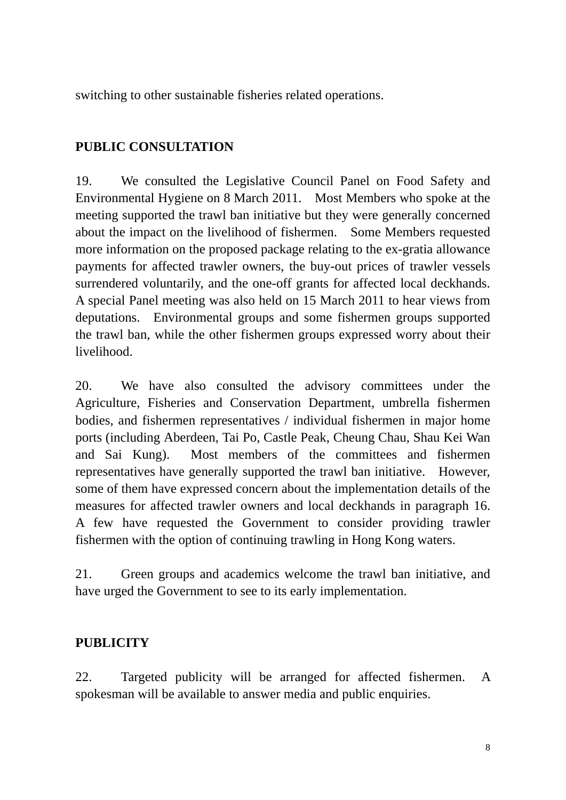switching to other sustainable fisheries related operations.

# **PUBLIC CONSULTATION**

19. We consulted the Legislative Council Panel on Food Safety and Environmental Hygiene on 8 March 2011. Most Members who spoke at the meeting supported the trawl ban initiative but they were generally concerned about the impact on the livelihood of fishermen. Some Members requested more information on the proposed package relating to the ex-gratia allowance payments for affected trawler owners, the buy-out prices of trawler vessels surrendered voluntarily, and the one-off grants for affected local deckhands. A special Panel meeting was also held on 15 March 2011 to hear views from deputations. Environmental groups and some fishermen groups supported the trawl ban, while the other fishermen groups expressed worry about their livelihood.

20. We have also consulted the advisory committees under the Agriculture, Fisheries and Conservation Department, umbrella fishermen bodies, and fishermen representatives / individual fishermen in major home ports (including Aberdeen, Tai Po, Castle Peak, Cheung Chau, Shau Kei Wan and Sai Kung). Most members of the committees and fishermen representatives have generally supported the trawl ban initiative. However, some of them have expressed concern about the implementation details of the measures for affected trawler owners and local deckhands in paragraph 16. A few have requested the Government to consider providing trawler fishermen with the option of continuing trawling in Hong Kong waters.

21. Green groups and academics welcome the trawl ban initiative, and have urged the Government to see to its early implementation.

# **PUBLICITY**

22. Targeted publicity will be arranged for affected fishermen. A spokesman will be available to answer media and public enquiries.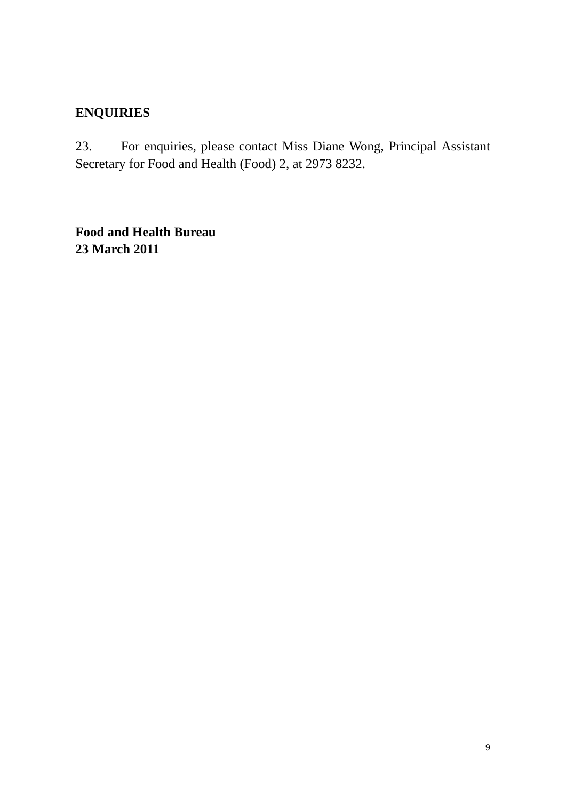# **ENQUIRIES**

23. For enquiries, please contact Miss Diane Wong, Principal Assistant Secretary for Food and Health (Food) 2, at 2973 8232.

**Food and Health Bureau 23 March 2011**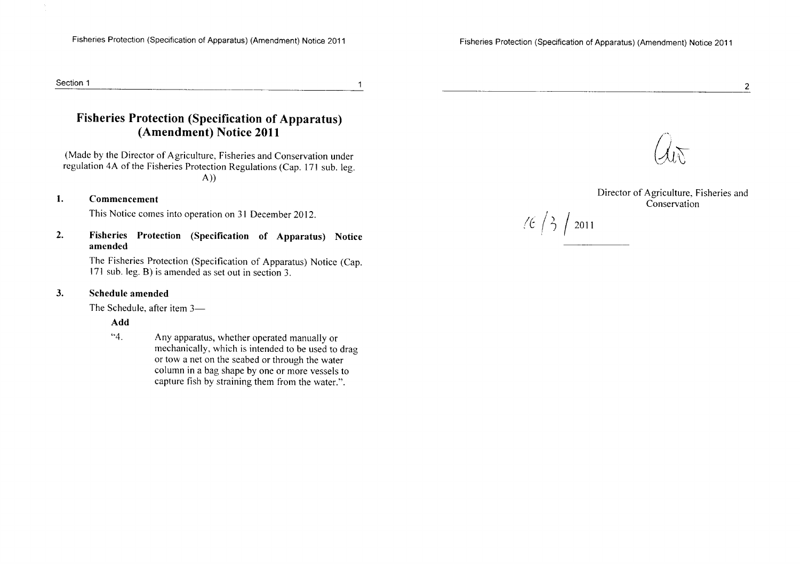$(6/3)$  2011

#### Section 1

#### **Fisheries Protection (Specification of Apparatus)** (Amendment) Notice 2011

 $\overline{1}$ 

(Made by the Director of Agriculture, Fisheries and Conservation under regulation 4A of the Fisheries Protection Regulations (Cap. 171 sub. leg.  $(A))$ 

#### $\mathbf{1}$ . Commencement

 $\sim$ 

This Notice comes into operation on 31 December 2012.

 $2.$ Fisheries Protection (Specification of Apparatus) Notice amended

> The Fisheries Protection (Specification of Apparatus) Notice (Cap. 171 sub. leg. B) is amended as set out in section 3.

#### $3.$ Schedule amended

The Schedule, after item 3-

Add

 $4.4$ Any apparatus, whether operated manually or mechanically, which is intended to be used to drag or tow a net on the seabed or through the water column in a bag shape by one or more vessels to capture fish by straining them from the water.".



 $\overline{2}$ 

Director of Agriculture, Fisheries and Conservation